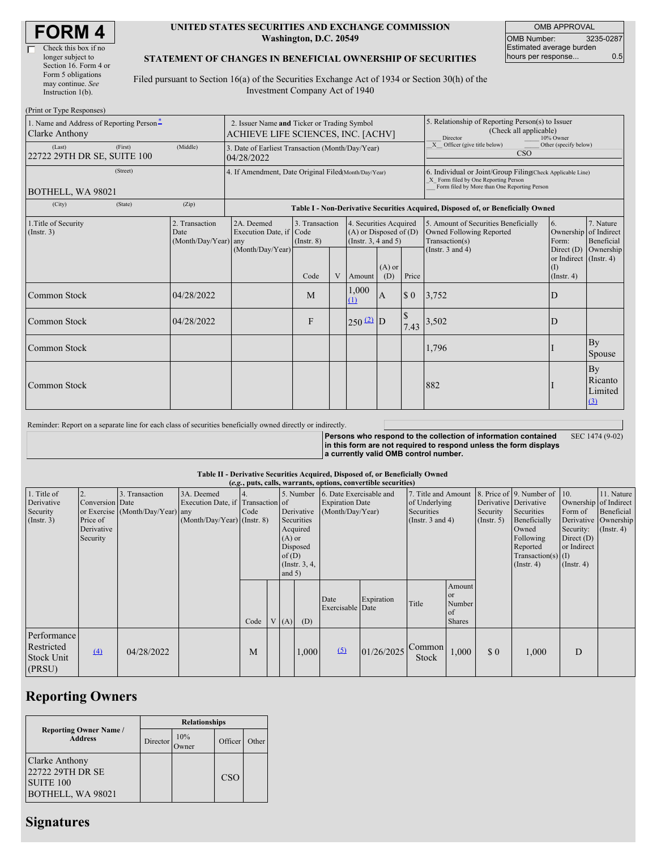| <b>FORM4</b> |
|--------------|
|--------------|

 $(Print or T)$ 

## **UNITED STATES SECURITIES AND EXCHANGE COMMISSION Washington, D.C. 20549**

OMB APPROVAL OMB Number: 3235-0287 Estimated average burden hours per response... 0.5

## **STATEMENT OF CHANGES IN BENEFICIAL OWNERSHIP OF SECURITIES**

Filed pursuant to Section 16(a) of the Securities Exchange Act of 1934 or Section 30(h) of the Investment Company Act of 1940

| $1 \text{ min}$ or $1 \text{ ypc}$ is $\frac{1}{2}$<br>1. Name and Address of Reporting Person-<br>Clarke Anthony |         | 2. Issuer Name and Ticker or Trading Symbol<br>ACHIEVE LIFE SCIENCES, INC. [ACHV] |                                                                |                                   |  |                                                                                  | 5. Relationship of Reporting Person(s) to Issuer<br>(Check all applicable)<br>Director<br>10% Owner |                                                                                                                                                    |                                                                                           |                                                              |                                        |  |  |  |
|-------------------------------------------------------------------------------------------------------------------|---------|-----------------------------------------------------------------------------------|----------------------------------------------------------------|-----------------------------------|--|----------------------------------------------------------------------------------|-----------------------------------------------------------------------------------------------------|----------------------------------------------------------------------------------------------------------------------------------------------------|-------------------------------------------------------------------------------------------|--------------------------------------------------------------|----------------------------------------|--|--|--|
| (Last)<br>22722 29TH DR SE, SUITE 100                                                                             | (First) | (Middle)                                                                          | 3. Date of Earliest Transaction (Month/Day/Year)<br>04/28/2022 |                                   |  |                                                                                  |                                                                                                     |                                                                                                                                                    | X Officer (give title below)<br>Other (specify below)<br><b>CSO</b>                       |                                                              |                                        |  |  |  |
| BOTHELL, WA 98021                                                                                                 |         | 4. If Amendment, Date Original Filed Month/Day/Year)                              |                                                                |                                   |  |                                                                                  |                                                                                                     | 6. Individual or Joint/Group Filing(Check Applicable Line)<br>X Form filed by One Reporting Person<br>Form filed by More than One Reporting Person |                                                                                           |                                                              |                                        |  |  |  |
| (City)                                                                                                            | (State) | (Zip)                                                                             |                                                                |                                   |  |                                                                                  |                                                                                                     | Table I - Non-Derivative Securities Acquired, Disposed of, or Beneficially Owned                                                                   |                                                                                           |                                                              |                                        |  |  |  |
| 1. Title of Security<br>(Insert. 3)                                                                               |         | 2. Transaction<br>Date<br>(Month/Day/Year) any                                    | 2A. Deemed<br>Execution Date, if Code                          | 3. Transaction<br>$($ Instr. $8)$ |  | 4. Securities Acquired<br>$(A)$ or Disposed of $(D)$<br>(Instr. $3, 4$ and $5$ ) |                                                                                                     |                                                                                                                                                    | 5. Amount of Securities Beneficially<br><b>Owned Following Reported</b><br>Transaction(s) | 6.<br>Ownership of Indirect<br>Form:                         | 7. Nature<br>Beneficial                |  |  |  |
|                                                                                                                   |         |                                                                                   | (Month/Day/Year)                                               | Code                              |  | V Amount                                                                         | $(A)$ or<br>(D)                                                                                     | Price                                                                                                                                              | (Instr. $3$ and $4$ )                                                                     | Direct $(D)$<br>or Indirect (Instr. 4)<br>(1)<br>(Insert. 4) | Ownership                              |  |  |  |
| Common Stock                                                                                                      |         | 04/28/2022                                                                        |                                                                | M                                 |  | 1,000<br>(1)                                                                     | $\mathbf{A}$                                                                                        | \$0                                                                                                                                                | 3,752                                                                                     | D                                                            |                                        |  |  |  |
| Common Stock                                                                                                      |         | 04/28/2022                                                                        |                                                                | F                                 |  | $250(2)$ D                                                                       |                                                                                                     | $\$$<br>7.43                                                                                                                                       | 3,502                                                                                     | D                                                            |                                        |  |  |  |
| Common Stock                                                                                                      |         |                                                                                   |                                                                |                                   |  |                                                                                  |                                                                                                     |                                                                                                                                                    | 1,796                                                                                     |                                                              | <b>By</b><br>Spouse                    |  |  |  |
| Common Stock                                                                                                      |         |                                                                                   |                                                                |                                   |  |                                                                                  |                                                                                                     |                                                                                                                                                    | 882                                                                                       |                                                              | <b>By</b><br>Ricanto<br>Limited<br>(3) |  |  |  |

Reminder: Report on a separate line for each class of securities beneficially owned directly or indirectly.

**Persons who respond to the collection of information contained in this form are not required to respond unless the form displays a currently valid OMB control number.** SEC 1474 (9-02)

## **Table II - Derivative Securities Acquired, Disposed of, or Beneficially Owned**

| (e.g., puts, calls, warrants, options, convertible securities) |                                                       |                                                    |                                                                                  |            |  |                                                                                                                                                                                         |       |                                                                                    |            |                                                    |                                                                                                                                     |                                                                                                  |                                                                      |   |  |
|----------------------------------------------------------------|-------------------------------------------------------|----------------------------------------------------|----------------------------------------------------------------------------------|------------|--|-----------------------------------------------------------------------------------------------------------------------------------------------------------------------------------------|-------|------------------------------------------------------------------------------------|------------|----------------------------------------------------|-------------------------------------------------------------------------------------------------------------------------------------|--------------------------------------------------------------------------------------------------|----------------------------------------------------------------------|---|--|
| 1. Title of<br>Derivative<br>Security<br>$($ Instr. 3 $)$      | Conversion Date<br>Price of<br>Derivative<br>Security | 3. Transaction<br>or Exercise (Month/Day/Year) any | 3A. Deemed<br>Execution Date, if Transaction of<br>$(Month/Day/Year)$ (Instr. 8) | 4.<br>Code |  | 5. Number 6. Date Exercisable and<br><b>Expiration Date</b><br>Derivative<br>(Month/Day/Year)<br>Securities<br>Acquired<br>$(A)$ or<br>Disposed<br>of(D)<br>(Instr. $3, 4,$<br>and $5)$ |       | 7. Title and Amount<br>of Underlying<br><b>Securities</b><br>(Instr. $3$ and $4$ ) |            | Derivative Derivative<br>Security<br>$($ Instr. 5) | 8. Price of 9. Number of 10.<br>Securities<br>Beneficially<br>Owned<br>Following<br>Reported<br>$Transaction(s)$ (I)<br>(Insert. 4) | Ownership of Indirect<br>Form of<br>Security:<br>Direct $(D)$<br>or Indirect<br>$($ Instr. 4 $)$ | 11. Nature<br>Beneficial<br>Derivative Ownership<br>$($ Instr. 4 $)$ |   |  |
|                                                                |                                                       |                                                    |                                                                                  | Code       |  | V(A)                                                                                                                                                                                    | (D)   | Date<br>Exercisable Date                                                           | Expiration | Title                                              | Amount<br><sub>or</sub><br>Number<br>of<br><b>Shares</b>                                                                            |                                                                                                  |                                                                      |   |  |
| Performance<br>Restricted<br><b>Stock Unit</b><br>(PRSU)       | $\Delta$                                              | 04/28/2022                                         |                                                                                  | M          |  |                                                                                                                                                                                         | 1,000 | (5)                                                                                | 01/26/2025 | Common<br>Stock                                    | 1,000                                                                                                                               | \$0                                                                                              | 1,000                                                                | D |  |

## **Reporting Owners**

|                                                                             | <b>Relationships</b> |              |            |       |  |  |  |  |
|-----------------------------------------------------------------------------|----------------------|--------------|------------|-------|--|--|--|--|
| <b>Reporting Owner Name /</b><br><b>Address</b>                             | Director             | 10%<br>)wner | Officer    | Other |  |  |  |  |
| Clarke Anthony<br>22722 29TH DR SE<br><b>SUITE 100</b><br>BOTHELL, WA 98021 |                      |              | <b>CSO</b> |       |  |  |  |  |

# **Signatures**